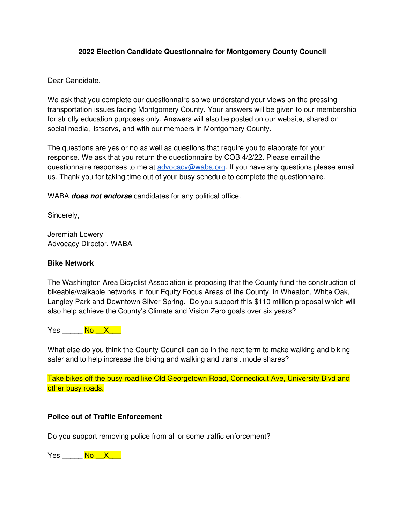# **2022 Election Candidate Questionnaire for Montgomery County Council**

Dear Candidate,

We ask that you complete our questionnaire so we understand your views on the pressing transportation issues facing Montgomery County. Your answers will be given to our membership for strictly education purposes only. Answers will also be posted on our website, shared on social media, listservs, and with our members in Montgomery County.

The questions are yes or no as well as questions that require you to elaborate for your response. We ask that you return the questionnaire by COB 4/2/22. Please email the questionnaire responses to me at [advocacy@waba.org.](mailto:advocacy@waba.org) If you have any questions please email us. Thank you for taking time out of your busy schedule to complete the questionnaire.

WABA **does not endorse** candidates for any political office.

Sincerely,

Jeremiah Lowery Advocacy Director, WABA

## **Bike Network**

The Washington Area Bicyclist Association is proposing that the County fund the construction of bikeable/walkable networks in four Equity Focus Areas of the County, in Wheaton, White Oak, Langley Park and Downtown Silver Spring. Do you support this \$110 million proposal which will also help achieve the County's Climate and Vision Zero goals over six years?

Yes No X <mark>.</mark>

What else do you think the County Council can do in the next term to make walking and biking safer and to help increase the biking and walking and transit mode shares?

Take bikes off the busy road like Old Georgetown Road, Connecticut Ave, University Blvd and other busy roads.

#### **Police out of Traffic Enforcement**

Do you support removing police from all or some traffic enforcement?

Yes No X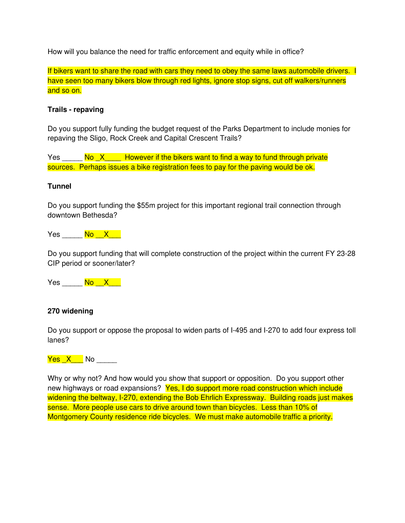How will you balance the need for traffic enforcement and equity while in office?

If bikers want to share the road with cars they need to obey the same laws automobile drivers. I have seen too many bikers blow through red lights, ignore stop signs, cut off walkers/runners and so on.

## **Trails - repaving**

Do you support fully funding the budget request of the Parks Department to include monies for repaving the Sligo, Rock Creek and Capital Crescent Trails?

Yes  $\frac{N_0 - X}{N_1 - N_2}$  However if the bikers want to find a way to fund through private sources. Perhaps issues a bike registration fees to pay for the paving would be ok.

#### **Tunnel**

Do you support funding the \$55m project for this important regional trail connection through downtown Bethesda?



Do you support funding that will complete construction of the project within the current FY 23-28 CIP period or sooner/later?

Yes No X

#### **270 widening**

Do you support or oppose the proposal to widen parts of I-495 and I-270 to add four express toll lanes?

<mark>Yes X \_\_</mark> No

Why or why not? And how would you show that support or opposition. Do you support other new highways or road expansions? Yes, I do support more road construction which include widening the beltway, I-270, extending the Bob Ehrlich Expressway. Building roads just makes sense. More people use cars to drive around town than bicycles. Less than 10% of Montgomery County residence ride bicycles. We must make automobile traffic a priority.